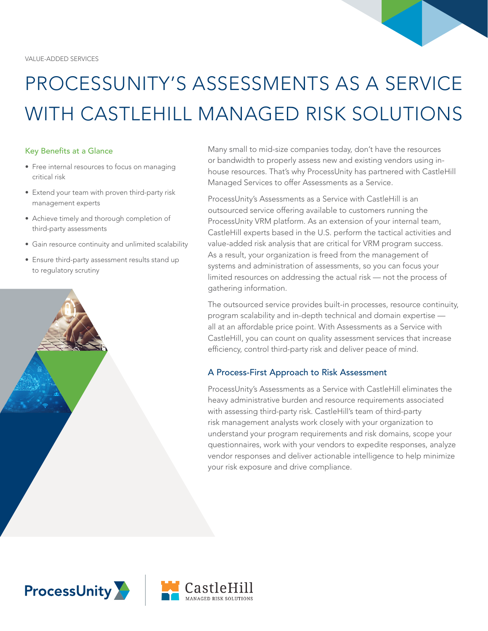# PROCESSUNITY'S ASSESSMENTS AS A SERVICE WITH CASTLEHILL MANAGED RISK SOLUTIONS

#### Key Benefits at a Glance

- Free internal resources to focus on managing critical risk
- Extend your team with proven third-party risk management experts
- Achieve timely and thorough completion of third-party assessments
- Gain resource continuity and unlimited scalability
- Ensure third-party assessment results stand up to regulatory scrutiny



Many small to mid-size companies today, don't have the resources or bandwidth to properly assess new and existing vendors using inhouse resources. That's why ProcessUnity has partnered with CastleHill Managed Services to offer Assessments as a Service.

ProcessUnity's Assessments as a Service with CastleHill is an outsourced service offering available to customers running the ProcessUnity VRM platform. As an extension of your internal team, CastleHill experts based in the U.S. perform the tactical activities and value-added risk analysis that are critical for VRM program success. As a result, your organization is freed from the management of systems and administration of assessments, so you can focus your limited resources on addressing the actual risk — not the process of gathering information.

The outsourced service provides built-in processes, resource continuity, program scalability and in-depth technical and domain expertise all at an affordable price point. With Assessments as a Service with CastleHill, you can count on quality assessment services that increase efficiency, control third-party risk and deliver peace of mind.

## A Process-First Approach to Risk Assessment

ProcessUnity's Assessments as a Service with CastleHill eliminates the heavy administrative burden and resource requirements associated with assessing third-party risk. CastleHill's team of third-party risk management analysts work closely with your organization to understand your program requirements and risk domains, scope your questionnaires, work with your vendors to expedite responses, analyze vendor responses and deliver actionable intelligence to help minimize your risk exposure and drive compliance.